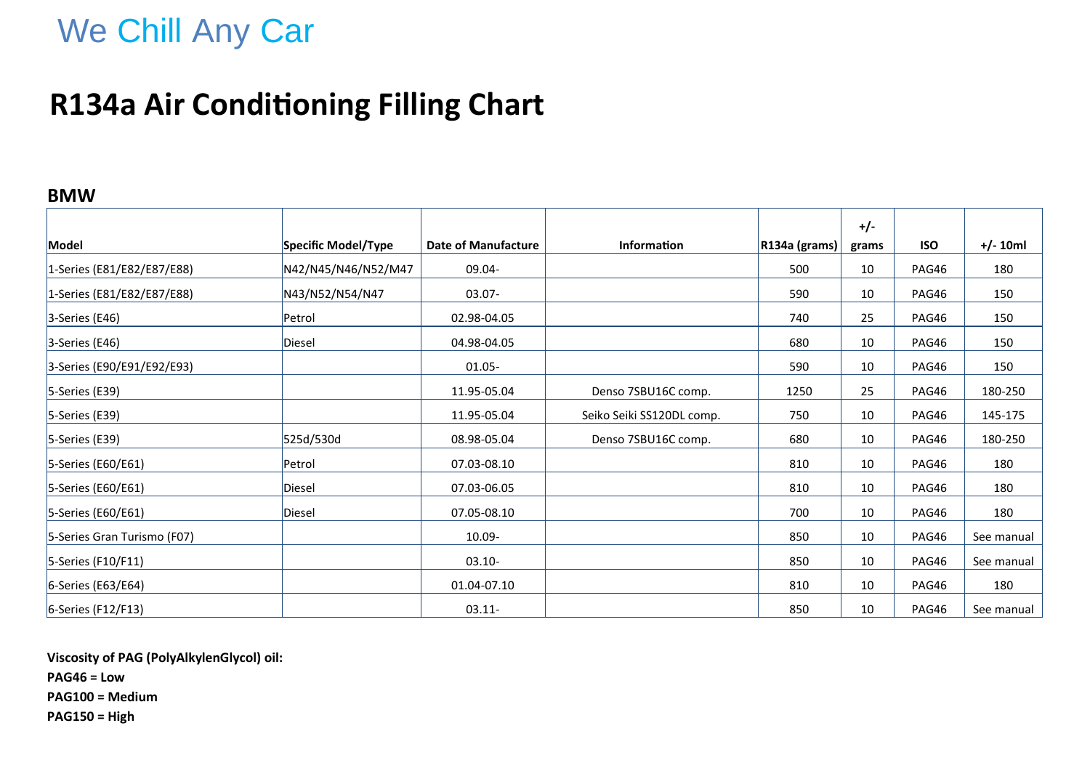# We Chill Any Car

### **R134a Air Conditioning Filling Chart**

#### **BMW**

|                             |                     |                            |                           |               | $+/-$ |            |            |
|-----------------------------|---------------------|----------------------------|---------------------------|---------------|-------|------------|------------|
| Model                       | Specific Model/Type | <b>Date of Manufacture</b> | <b>Information</b>        | R134a (grams) | grams | <b>ISO</b> | $+/- 10ml$ |
| 1-Series (E81/E82/E87/E88)  | N42/N45/N46/N52/M47 | 09.04-                     |                           | 500           | 10    | PAG46      | 180        |
| 1-Series (E81/E82/E87/E88)  | N43/N52/N54/N47     | $03.07 -$                  |                           | 590           | 10    | PAG46      | 150        |
| $3$ -Series (E46)           | Petrol              | 02.98-04.05                |                           | 740           | 25    | PAG46      | 150        |
| $3$ -Series (E46)           | Diesel              | 04.98-04.05                |                           | 680           | 10    | PAG46      | 150        |
| 3-Series (E90/E91/E92/E93)  |                     | $01.05 -$                  |                           | 590           | 10    | PAG46      | 150        |
| $5$ -Series (E39)           |                     | 11.95-05.04                | Denso 7SBU16C comp.       | 1250          | 25    | PAG46      | 180-250    |
| $5$ -Series (E39)           |                     | 11.95-05.04                | Seiko Seiki SS120DL comp. | 750           | 10    | PAG46      | 145-175    |
| $5$ -Series (E39)           | 525d/530d           | 08.98-05.04                | Denso 7SBU16C comp.       | 680           | 10    | PAG46      | 180-250    |
| 5-Series (E60/E61)          | Petrol              | 07.03-08.10                |                           | 810           | 10    | PAG46      | 180        |
| 5-Series (E60/E61)          | Diesel              | 07.03-06.05                |                           | 810           | 10    | PAG46      | 180        |
| 5-Series (E60/E61)          | Diesel              | 07.05-08.10                |                           | 700           | 10    | PAG46      | 180        |
| 5-Series Gran Turismo (F07) |                     | 10.09-                     |                           | 850           | 10    | PAG46      | See manual |
| 5-Series (F10/F11)          |                     | $03.10 -$                  |                           | 850           | 10    | PAG46      | See manual |
| 6-Series (E63/E64)          |                     | 01.04-07.10                |                           | 810           | 10    | PAG46      | 180        |
| $6$ -Series (F12/F13)       |                     | $03.11 -$                  |                           | 850           | 10    | PAG46      | See manual |

**Viscosity of PAG (PolyAlkylenGlycol) oil: PAG46 = Low**

**PAG100 = Medium**

**PAG150 = High**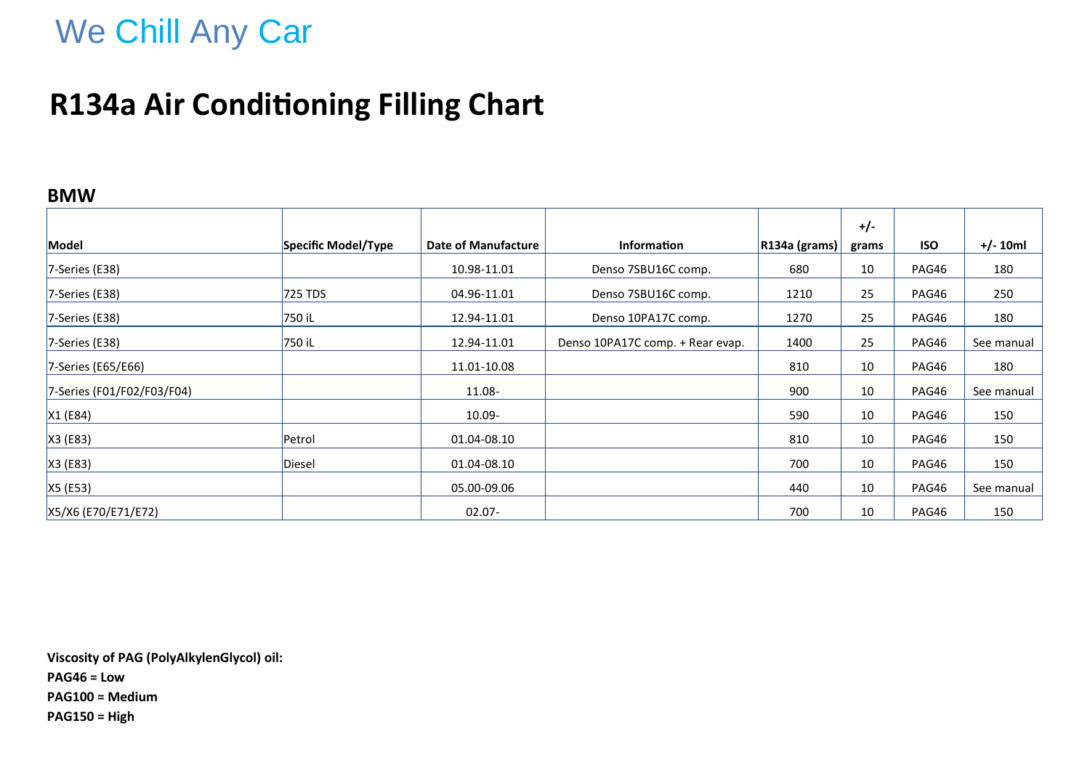# We Chill Any Car

### **R134a Air Conditioning Filling Chart**

#### **BMW**

|                            |                     |                            |                                  |               | $+/-$ |            |            |
|----------------------------|---------------------|----------------------------|----------------------------------|---------------|-------|------------|------------|
| Model                      | Specific Model/Type | <b>Date of Manufacture</b> | <b>Information</b>               | R134a (grams) | grams | <b>ISO</b> | $+/- 10ml$ |
| $7$ -Series (E38)          |                     | 10.98-11.01                | Denso 7SBU16C comp.              | 680           | 10    | PAG46      | 180        |
| $7$ -Series (E38)          | 725 TDS             | 04.96-11.01                | Denso 7SBU16C comp.              | 1210          | 25    | PAG46      | 250        |
| $7$ -Series (E38)          | 750 iL              | 12.94-11.01                | Denso 10PA17C comp.              | 1270          | 25    | PAG46      | 180        |
| 7-Series (E38)             | 750 iL              | 12.94-11.01                | Denso 10PA17C comp. + Rear evap. | 1400          | 25    | PAG46      | See manual |
| 7-Series (E65/E66)         |                     | 11.01-10.08                |                                  | 810           | 10    | PAG46      | 180        |
| 7-Series (F01/F02/F03/F04) |                     | 11.08-                     |                                  | 900           | 10    | PAG46      | See manual |
| X1(E84)                    |                     | 10.09-                     |                                  | 590           | 10    | PAG46      | 150        |
| $X3$ (E83)                 | Petrol              | 01.04-08.10                |                                  | 810           | 10    | PAG46      | 150        |
| X3 (E83)                   | Diesel              | 01.04-08.10                |                                  | 700           | 10    | PAG46      | 150        |
| X5 (E53)                   |                     | 05.00-09.06                |                                  | 440           | 10    | PAG46      | See manual |
| X5/X6 (E70/E71/E72)        |                     | $02.07 -$                  |                                  | 700           | 10    | PAG46      | 150        |

**Viscosity of PAG (PolyAlkylenGlycol) oil: PAG46 = Low PAG100 = Medium PAG150 = High**